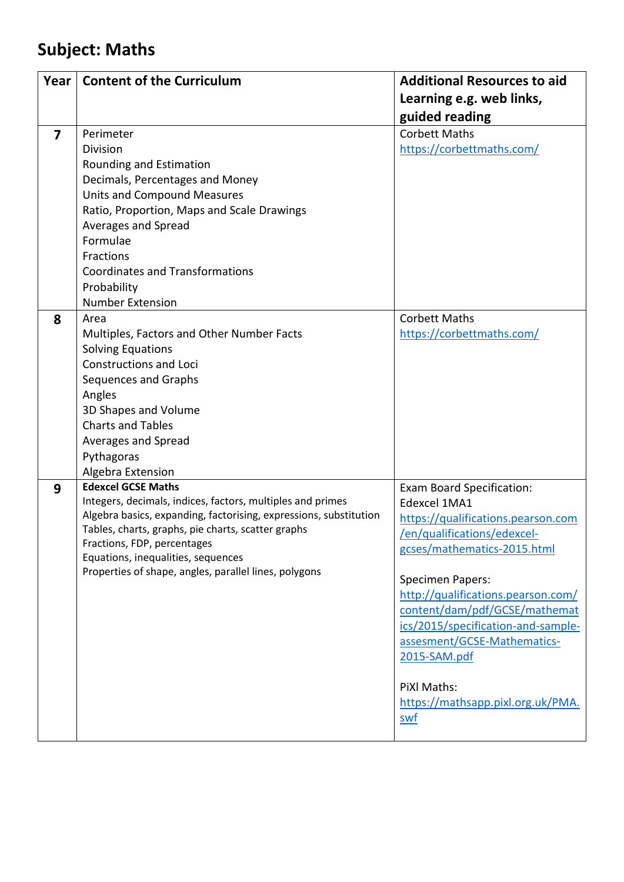## **Subject: Maths**

| Year                    | <b>Content of the Curriculum</b>                                  | <b>Additional Resources to aid</b> |
|-------------------------|-------------------------------------------------------------------|------------------------------------|
|                         |                                                                   | Learning e.g. web links,           |
|                         |                                                                   | guided reading                     |
| $\overline{\mathbf{z}}$ | Perimeter                                                         | <b>Corbett Maths</b>               |
|                         | <b>Division</b>                                                   | https://corbettmaths.com/          |
|                         | Rounding and Estimation                                           |                                    |
|                         | Decimals, Percentages and Money                                   |                                    |
|                         | <b>Units and Compound Measures</b>                                |                                    |
|                         | Ratio, Proportion, Maps and Scale Drawings                        |                                    |
|                         | Averages and Spread                                               |                                    |
|                         | Formulae                                                          |                                    |
|                         | Fractions                                                         |                                    |
|                         | <b>Coordinates and Transformations</b>                            |                                    |
|                         | Probability                                                       |                                    |
|                         | <b>Number Extension</b>                                           |                                    |
| 8                       | Area                                                              | <b>Corbett Maths</b>               |
|                         | Multiples, Factors and Other Number Facts                         | https://corbettmaths.com/          |
|                         | <b>Solving Equations</b>                                          |                                    |
|                         | <b>Constructions and Loci</b>                                     |                                    |
|                         | Sequences and Graphs                                              |                                    |
|                         | Angles                                                            |                                    |
|                         | 3D Shapes and Volume<br><b>Charts and Tables</b>                  |                                    |
|                         |                                                                   |                                    |
|                         | Averages and Spread                                               |                                    |
|                         | Pythagoras<br>Algebra Extension                                   |                                    |
| 9                       | <b>Edexcel GCSE Maths</b>                                         | <b>Exam Board Specification:</b>   |
|                         | Integers, decimals, indices, factors, multiples and primes        | Edexcel 1MA1                       |
|                         | Algebra basics, expanding, factorising, expressions, substitution | https://qualifications.pearson.com |
|                         | Tables, charts, graphs, pie charts, scatter graphs                | /en/qualifications/edexcel-        |
|                         | Fractions, FDP, percentages                                       | gcses/mathematics-2015.html        |
|                         | Equations, inequalities, sequences                                |                                    |
|                         | Properties of shape, angles, parallel lines, polygons             | <b>Specimen Papers:</b>            |
|                         |                                                                   | http://qualifications.pearson.com/ |
|                         |                                                                   | content/dam/pdf/GCSE/mathemat      |
|                         |                                                                   | ics/2015/specification-and-sample- |
|                         |                                                                   | assesment/GCSE-Mathematics-        |
|                         |                                                                   | 2015-SAM.pdf                       |
|                         |                                                                   |                                    |
|                         |                                                                   | PiXl Maths:                        |
|                         |                                                                   | https://mathsapp.pixl.org.uk/PMA.  |
|                         |                                                                   | swf                                |
|                         |                                                                   |                                    |